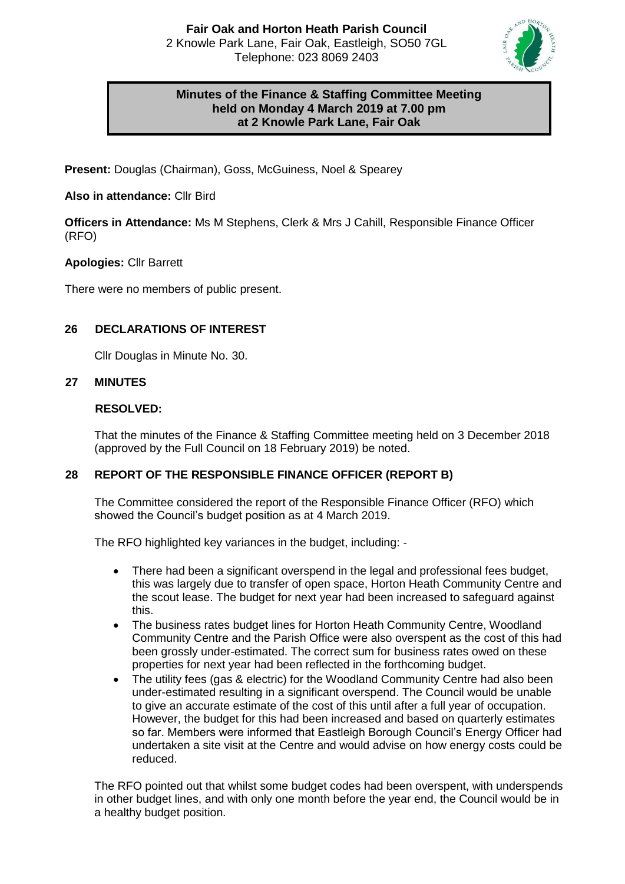

# **Minutes of the Finance & Staffing Committee Meeting held on Monday 4 March 2019 at 7.00 pm at 2 Knowle Park Lane, Fair Oak**

**Present:** Douglas (Chairman), Goss, McGuiness, Noel & Spearey

# **Also in attendance:** Cllr Bird

**Officers in Attendance:** Ms M Stephens, Clerk & Mrs J Cahill, Responsible Finance Officer (RFO)

# **Apologies:** Cllr Barrett

There were no members of public present.

# **26 DECLARATIONS OF INTEREST**

Cllr Douglas in Minute No. 30.

## **27 MINUTES**

## **RESOLVED:**

That the minutes of the Finance & Staffing Committee meeting held on 3 December 2018 (approved by the Full Council on 18 February 2019) be noted.

## **28 REPORT OF THE RESPONSIBLE FINANCE OFFICER (REPORT B)**

The Committee considered the report of the Responsible Finance Officer (RFO) which showed the Council's budget position as at 4 March 2019.

The RFO highlighted key variances in the budget, including: -

- There had been a significant overspend in the legal and professional fees budget, this was largely due to transfer of open space, Horton Heath Community Centre and the scout lease. The budget for next year had been increased to safeguard against this.
- The business rates budget lines for Horton Heath Community Centre, Woodland Community Centre and the Parish Office were also overspent as the cost of this had been grossly under-estimated. The correct sum for business rates owed on these properties for next year had been reflected in the forthcoming budget.
- The utility fees (gas & electric) for the Woodland Community Centre had also been under-estimated resulting in a significant overspend. The Council would be unable to give an accurate estimate of the cost of this until after a full year of occupation. However, the budget for this had been increased and based on quarterly estimates so far. Members were informed that Eastleigh Borough Council's Energy Officer had undertaken a site visit at the Centre and would advise on how energy costs could be reduced.

The RFO pointed out that whilst some budget codes had been overspent, with underspends in other budget lines, and with only one month before the year end, the Council would be in a healthy budget position.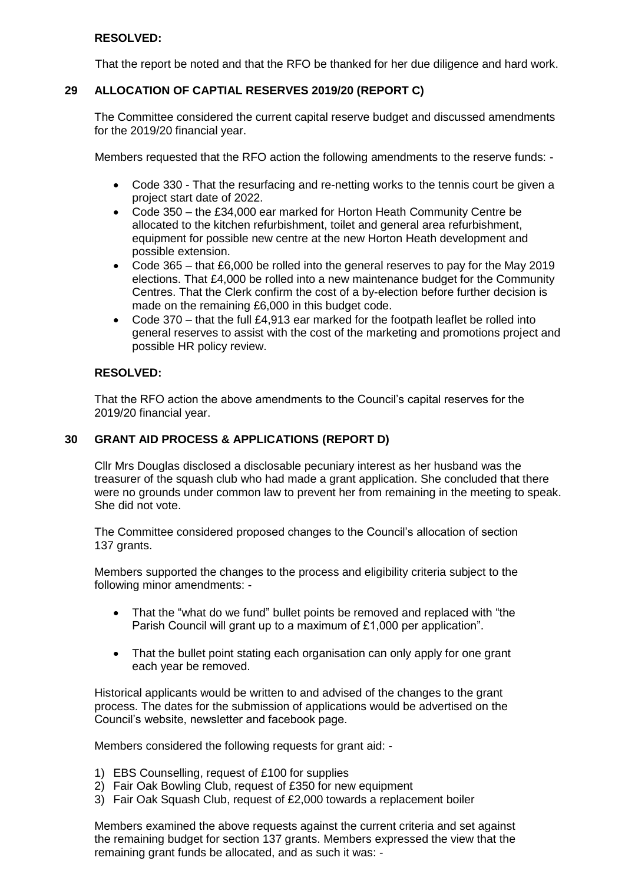## **RESOLVED:**

That the report be noted and that the RFO be thanked for her due diligence and hard work.

## **29 ALLOCATION OF CAPTIAL RESERVES 2019/20 (REPORT C)**

The Committee considered the current capital reserve budget and discussed amendments for the 2019/20 financial year.

Members requested that the RFO action the following amendments to the reserve funds: -

- Code 330 That the resurfacing and re-netting works to the tennis court be given a project start date of 2022.
- Code 350 the £34,000 ear marked for Horton Heath Community Centre be allocated to the kitchen refurbishment, toilet and general area refurbishment, equipment for possible new centre at the new Horton Heath development and possible extension.
- Code 365 that £6,000 be rolled into the general reserves to pay for the May 2019 elections. That £4,000 be rolled into a new maintenance budget for the Community Centres. That the Clerk confirm the cost of a by-election before further decision is made on the remaining £6,000 in this budget code.
- Code 370 that the full £4,913 ear marked for the footpath leaflet be rolled into general reserves to assist with the cost of the marketing and promotions project and possible HR policy review.

#### **RESOLVED:**

That the RFO action the above amendments to the Council's capital reserves for the 2019/20 financial year.

#### **30 GRANT AID PROCESS & APPLICATIONS (REPORT D)**

Cllr Mrs Douglas disclosed a disclosable pecuniary interest as her husband was the treasurer of the squash club who had made a grant application. She concluded that there were no grounds under common law to prevent her from remaining in the meeting to speak. She did not vote.

The Committee considered proposed changes to the Council's allocation of section 137 grants.

Members supported the changes to the process and eligibility criteria subject to the following minor amendments: -

- That the "what do we fund" bullet points be removed and replaced with "the Parish Council will grant up to a maximum of £1,000 per application".
- That the bullet point stating each organisation can only apply for one grant each year be removed.

Historical applicants would be written to and advised of the changes to the grant process. The dates for the submission of applications would be advertised on the Council's website, newsletter and facebook page.

Members considered the following requests for grant aid: -

- 1) EBS Counselling, request of £100 for supplies
- 2) Fair Oak Bowling Club, request of £350 for new equipment
- 3) Fair Oak Squash Club, request of £2,000 towards a replacement boiler

Members examined the above requests against the current criteria and set against the remaining budget for section 137 grants. Members expressed the view that the remaining grant funds be allocated, and as such it was: -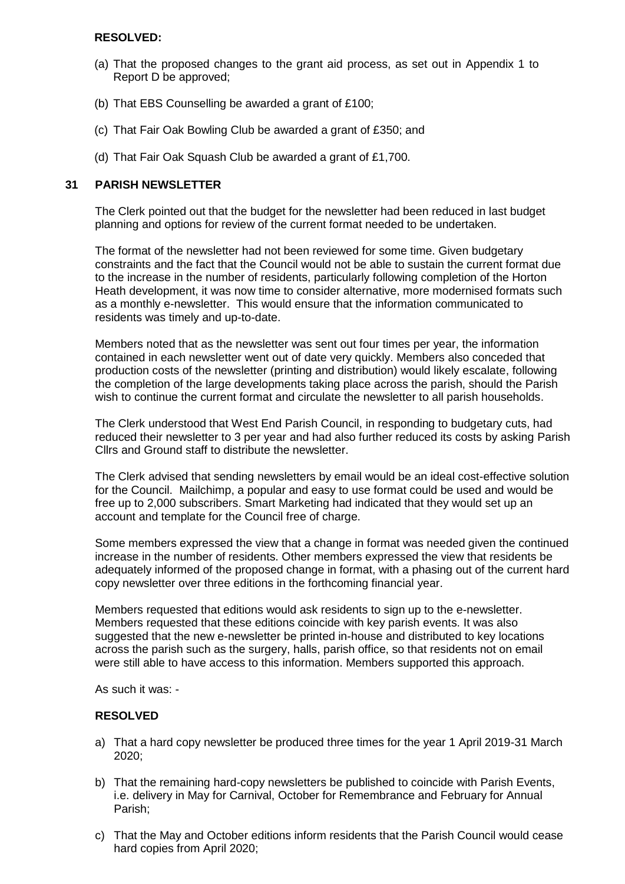#### **RESOLVED:**

- (a) That the proposed changes to the grant aid process, as set out in Appendix 1 to Report D be approved;
- (b) That EBS Counselling be awarded a grant of £100;
- (c) That Fair Oak Bowling Club be awarded a grant of £350; and
- (d) That Fair Oak Squash Club be awarded a grant of £1,700.

#### **31 PARISH NEWSLETTER**

The Clerk pointed out that the budget for the newsletter had been reduced in last budget planning and options for review of the current format needed to be undertaken.

The format of the newsletter had not been reviewed for some time. Given budgetary constraints and the fact that the Council would not be able to sustain the current format due to the increase in the number of residents, particularly following completion of the Horton Heath development, it was now time to consider alternative, more modernised formats such as a monthly e-newsletter. This would ensure that the information communicated to residents was timely and up-to-date.

Members noted that as the newsletter was sent out four times per year, the information contained in each newsletter went out of date very quickly. Members also conceded that production costs of the newsletter (printing and distribution) would likely escalate, following the completion of the large developments taking place across the parish, should the Parish wish to continue the current format and circulate the newsletter to all parish households.

The Clerk understood that West End Parish Council, in responding to budgetary cuts, had reduced their newsletter to 3 per year and had also further reduced its costs by asking Parish Cllrs and Ground staff to distribute the newsletter.

The Clerk advised that sending newsletters by email would be an ideal cost-effective solution for the Council. Mailchimp, a popular and easy to use format could be used and would be free up to 2,000 subscribers. Smart Marketing had indicated that they would set up an account and template for the Council free of charge.

Some members expressed the view that a change in format was needed given the continued increase in the number of residents. Other members expressed the view that residents be adequately informed of the proposed change in format, with a phasing out of the current hard copy newsletter over three editions in the forthcoming financial year.

Members requested that editions would ask residents to sign up to the e-newsletter. Members requested that these editions coincide with key parish events. It was also suggested that the new e-newsletter be printed in-house and distributed to key locations across the parish such as the surgery, halls, parish office, so that residents not on email were still able to have access to this information. Members supported this approach.

As such it was: -

## **RESOLVED**

- a) That a hard copy newsletter be produced three times for the year 1 April 2019-31 March 2020;
- b) That the remaining hard-copy newsletters be published to coincide with Parish Events, i.e. delivery in May for Carnival, October for Remembrance and February for Annual Parish;
- c) That the May and October editions inform residents that the Parish Council would cease hard copies from April 2020;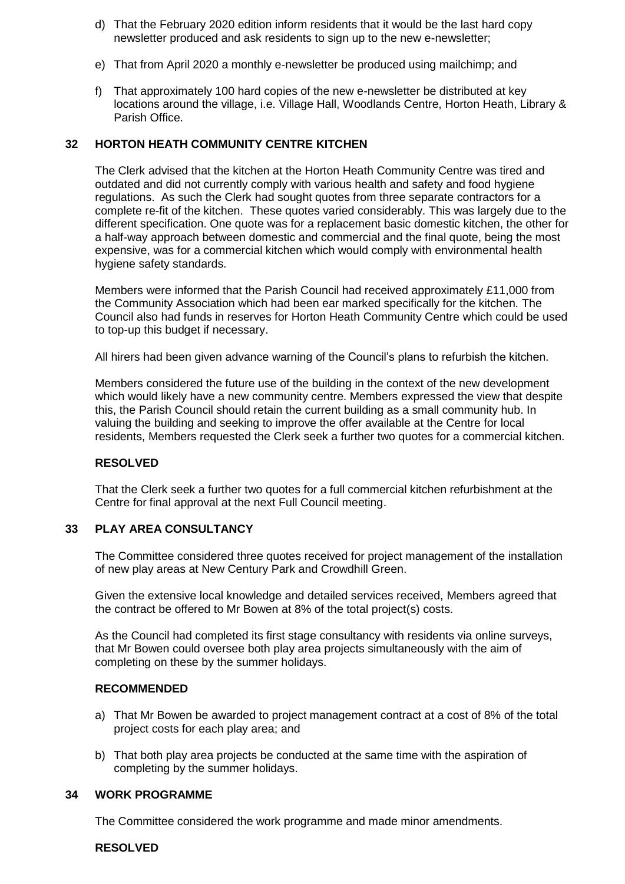- d) That the February 2020 edition inform residents that it would be the last hard copy newsletter produced and ask residents to sign up to the new e-newsletter;
- e) That from April 2020 a monthly e-newsletter be produced using mailchimp; and
- f) That approximately 100 hard copies of the new e-newsletter be distributed at key locations around the village, i.e. Village Hall, Woodlands Centre, Horton Heath, Library & Parish Office.

## **32 HORTON HEATH COMMUNITY CENTRE KITCHEN**

The Clerk advised that the kitchen at the Horton Heath Community Centre was tired and outdated and did not currently comply with various health and safety and food hygiene regulations. As such the Clerk had sought quotes from three separate contractors for a complete re-fit of the kitchen. These quotes varied considerably. This was largely due to the different specification. One quote was for a replacement basic domestic kitchen, the other for a half-way approach between domestic and commercial and the final quote, being the most expensive, was for a commercial kitchen which would comply with environmental health hygiene safety standards.

Members were informed that the Parish Council had received approximately £11,000 from the Community Association which had been ear marked specifically for the kitchen. The Council also had funds in reserves for Horton Heath Community Centre which could be used to top-up this budget if necessary.

All hirers had been given advance warning of the Council's plans to refurbish the kitchen.

Members considered the future use of the building in the context of the new development which would likely have a new community centre. Members expressed the view that despite this, the Parish Council should retain the current building as a small community hub. In valuing the building and seeking to improve the offer available at the Centre for local residents, Members requested the Clerk seek a further two quotes for a commercial kitchen.

#### **RESOLVED**

That the Clerk seek a further two quotes for a full commercial kitchen refurbishment at the Centre for final approval at the next Full Council meeting.

#### **33 PLAY AREA CONSULTANCY**

The Committee considered three quotes received for project management of the installation of new play areas at New Century Park and Crowdhill Green.

Given the extensive local knowledge and detailed services received, Members agreed that the contract be offered to Mr Bowen at 8% of the total project(s) costs.

As the Council had completed its first stage consultancy with residents via online surveys, that Mr Bowen could oversee both play area projects simultaneously with the aim of completing on these by the summer holidays.

#### **RECOMMENDED**

- a) That Mr Bowen be awarded to project management contract at a cost of 8% of the total project costs for each play area; and
- b) That both play area projects be conducted at the same time with the aspiration of completing by the summer holidays.

#### **34 WORK PROGRAMME**

The Committee considered the work programme and made minor amendments.

**RESOLVED**